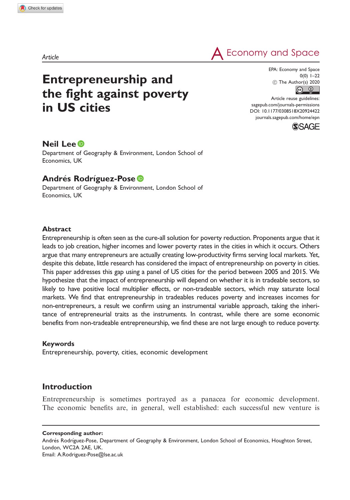$\mathsf{A}\xspace$  Economy and Space

# Entrepreneurship and the fight against poverty in US cities

EPA: Economy and Space 0(0) 1–22  $\circled{c}$  The Author(s) 2020

Article reuse guidelines: [sagepub.com/journals-permissions](http://uk.sagepub.com/en-gb/journals-permissions) [DOI: 10.1177/0308518X20924422](http://dx.doi.org/10.1177/0308518X20924422) <journals.sagepub.com/home/epn>



## Neil Lee

Department of Geography & Environment, London School of Economics, UK

## Andrés Rodríguez-Pose <sup>®</sup>

Department of Geography & Environment, London School of Economics, UK

#### **Abstract**

Entrepreneurship is often seen as the cure-all solution for poverty reduction. Proponents argue that it leads to job creation, higher incomes and lower poverty rates in the cities in which it occurs. Others argue that many entrepreneurs are actually creating low-productivity firms serving local markets. Yet, despite this debate, little research has considered the impact of entrepreneurship on poverty in cities. This paper addresses this gap using a panel of US cities for the period between 2005 and 2015. We hypothesize that the impact of entrepreneurship will depend on whether it is in tradeable sectors, so likely to have positive local multiplier effects, or non-tradeable sectors, which may saturate local markets. We find that entrepreneurship in tradeables reduces poverty and increases incomes for non-entrepreneurs, a result we confirm using an instrumental variable approach, taking the inheritance of entrepreneurial traits as the instruments. In contrast, while there are some economic benefits from non-tradeable entrepreneurship, we find these are not large enough to reduce poverty.

#### Keywords

Entrepreneurship, poverty, cities, economic development

## Introduction

Entrepreneurship is sometimes portrayed as a panacea for economic development. The economic benefits are, in general, well established: each successful new venture is

Corresponding author: Andrés Rodríguez-Pose, Department of Geography & Environment, London School of Economics, Houghton Street, London, WC2A 2AE, UK. Email: [A.Rodriguez-Pose@lse.ac.uk](mailto:A.Rodriguez-Pose@lse.ac.uk)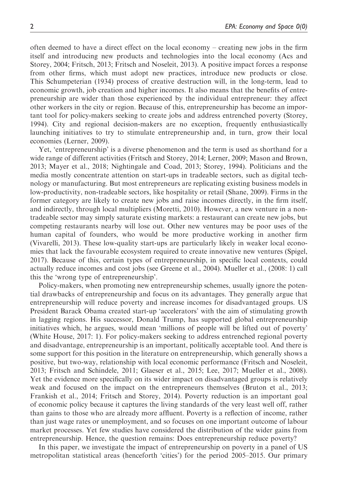often deemed to have a direct effect on the local economy – creating new jobs in the firm itself and introducing new products and technologies into the local economy (Acs and Storey, 2004; Fritsch, 2013; Fritsch and Noseleit, 2013). A positive impact forces a response from other firms, which must adopt new practices, introduce new products or close. This Schumpeterian (1934) process of creative destruction will, in the long-term, lead to economic growth, job creation and higher incomes. It also means that the benefits of entrepreneurship are wider than those experienced by the individual entrepreneur: they affect other workers in the city or region. Because of this, entrepreneurship has become an important tool for policy-makers seeking to create jobs and address entrenched poverty (Storey, 1994). City and regional decision-makers are no exception, frequently enthusiastically launching initiatives to try to stimulate entrepreneurship and, in turn, grow their local economies (Lerner, 2009).

Yet, 'entrepreneurship' is a diverse phenomenon and the term is used as shorthand for a wide range of different activities (Fritsch and Storey, 2014; Lerner, 2009; Mason and Brown, 2013; Mayer et al., 2018; Nightingale and Coad, 2013; Storey, 1994). Politicians and the media mostly concentrate attention on start-ups in tradeable sectors, such as digital technology or manufacturing. But most entrepreneurs are replicating existing business models in low-productivity, non-tradeable sectors, like hospitality or retail (Shane, 2009). Firms in the former category are likely to create new jobs and raise incomes directly, in the firm itself, and indirectly, through local multipliers (Moretti, 2010). However, a new venture in a nontradeable sector may simply saturate existing markets: a restaurant can create new jobs, but competing restaurants nearby will lose out. Other new ventures may be poor uses of the human capital of founders, who would be more productive working in another firm (Vivarelli, 2013). These low-quality start-ups are particularly likely in weaker local economies that lack the favourable ecosystem required to create innovative new ventures (Spigel, 2017). Because of this, certain types of entrepreneurship, in specific local contexts, could actually reduce incomes and cost jobs (see Greene et al., 2004). Mueller et al., (2008: 1) call this the 'wrong type of entrepreneurship'.

Policy-makers, when promoting new entrepreneurship schemes, usually ignore the potential drawbacks of entrepreneurship and focus on its advantages. They generally argue that entrepreneurship will reduce poverty and increase incomes for disadvantaged groups. US President Barack Obama created start-up 'accelerators' with the aim of stimulating growth in lagging regions. His successor, Donald Trump, has supported global entrepreneurship initiatives which, he argues, would mean 'millions of people will be lifted out of poverty' (White House, 2017: 1). For policy-makers seeking to address entrenched regional poverty and disadvantage, entrepreneurship is an important, politically acceptable tool. And there is some support for this position in the literature on entrepreneurship, which generally shows a positive, but two-way, relationship with local economic performance (Fritsch and Noseleit, 2013; Fritsch and Schindele, 2011; Glaeser et al., 2015; Lee, 2017; Mueller et al., 2008). Yet the evidence more specifically on its wider impact on disadvantaged groups is relatively weak and focused on the impact on the entrepreneurs themselves (Bruton et al., 2013; Frankish et al., 2014; Fritsch and Storey, 2014). Poverty reduction is an important goal of economic policy because it captures the living standards of the very least well off, rather than gains to those who are already more affluent. Poverty is a reflection of income, rather than just wage rates or unemployment, and so focuses on one important outcome of labour market processes. Yet few studies have considered the distribution of the wider gains from entrepreneurship. Hence, the question remains: Does entrepreneurship reduce poverty?

In this paper, we investigate the impact of entrepreneurship on poverty in a panel of US metropolitan statistical areas (henceforth 'cities') for the period 2005–2015. Our primary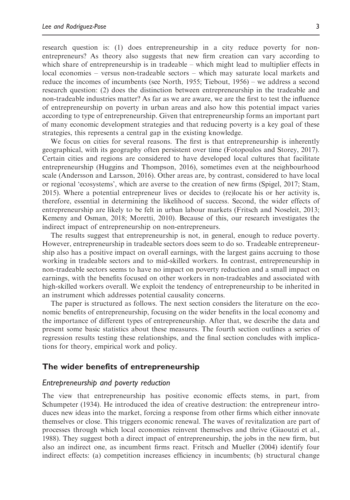research question is: (1) does entrepreneurship in a city reduce poverty for nonentrepreneurs? As theory also suggests that new firm creation can vary according to which share of entrepreneurship is in tradeable – which might lead to multiplier effects in local economies – versus non-tradeable sectors – which may saturate local markets and reduce the incomes of incumbents (see North, 1955; Tiebout, 1956) – we address a second research question: (2) does the distinction between entrepreneurship in the tradeable and non-tradeable industries matter? As far as we are aware, we are the first to test the influence of entrepreneurship on poverty in urban areas and also how this potential impact varies according to type of entrepreneurship. Given that entrepreneurship forms an important part of many economic development strategies and that reducing poverty is a key goal of these strategies, this represents a central gap in the existing knowledge.

We focus on cities for several reasons. The first is that entrepreneurship is inherently geographical, with its geography often persistent over time (Fotopoulos and Storey, 2017). Certain cities and regions are considered to have developed local cultures that facilitate entrepreneurship (Huggins and Thompson, 2016), sometimes even at the neighbourhood scale (Andersson and Larsson, 2016). Other areas are, by contrast, considered to have local or regional 'ecosystems', which are averse to the creation of new firms (Spigel, 2017; Stam, 2015). Where a potential entrepreneur lives or decides to (re)locate his or her activity is, therefore, essential in determining the likelihood of success. Second, the wider effects of entrepreneurship are likely to be felt in urban labour markets (Fritsch and Noseleit, 2013; Kemeny and Osman, 2018; Moretti, 2010). Because of this, our research investigates the indirect impact of entrepreneurship on non-entrepreneurs.

The results suggest that entrepreneurship is not, in general, enough to reduce poverty. However, entrepreneurship in tradeable sectors does seem to do so. Tradeable entrepreneurship also has a positive impact on overall earnings, with the largest gains accruing to those working in tradeable sectors and to mid-skilled workers. In contrast, entrepreneurship in non-tradeable sectors seems to have no impact on poverty reduction and a small impact on earnings, with the benefits focused on other workers in non-tradeables and associated with high-skilled workers overall. We exploit the tendency of entrepreneurship to be inherited in an instrument which addresses potential causality concerns.

The paper is structured as follows. The next section considers the literature on the economic benefits of entrepreneurship, focusing on the wider benefits in the local economy and the importance of different types of entrepreneurship. After that, we describe the data and present some basic statistics about these measures. The fourth section outlines a series of regression results testing these relationships, and the final section concludes with implications for theory, empirical work and policy.

## The wider benefits of entrepreneurship

#### Entrepreneurship and poverty reduction

The view that entrepreneurship has positive economic effects stems, in part, from Schumpeter (1934). He introduced the idea of creative destruction: the entrepreneur introduces new ideas into the market, forcing a response from other firms which either innovate themselves or close. This triggers economic renewal. The waves of revitalization are part of processes through which local economies reinvent themselves and thrive (Giaoutzi et al., 1988). They suggest both a direct impact of entrepreneurship, the jobs in the new firm, but also an indirect one, as incumbent firms react. Fritsch and Mueller (2004) identify four indirect effects: (a) competition increases efficiency in incumbents; (b) structural change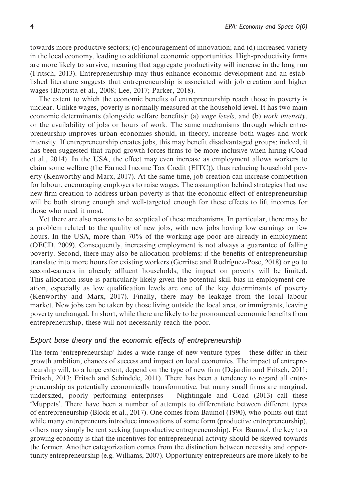towards more productive sectors; (c) encouragement of innovation; and (d) increased variety in the local economy, leading to additional economic opportunities. High-productivity firms are more likely to survive, meaning that aggregate productivity will increase in the long run (Fritsch, 2013). Entrepreneurship may thus enhance economic development and an established literature suggests that entrepreneurship is associated with job creation and higher wages (Baptista et al., 2008; Lee, 2017; Parker, 2018).

The extent to which the economic benefits of entrepreneurship reach those in poverty is unclear. Unlike wages, poverty is normally measured at the household level. It has two main economic determinants (alongside welfare benefits): (a) wage levels, and (b) work intensity, or the availability of jobs or hours of work. The same mechanisms through which entrepreneurship improves urban economies should, in theory, increase both wages and work intensity. If entrepreneurship creates jobs, this may benefit disadvantaged groups; indeed, it has been suggested that rapid growth forces firms to be more inclusive when hiring (Coad et al., 2014). In the USA, the effect may even increase as employment allows workers to claim some welfare (the Earned Income Tax Credit (EITC)), thus reducing household poverty (Kenworthy and Marx, 2017). At the same time, job creation can increase competition for labour, encouraging employers to raise wages. The assumption behind strategies that use new firm creation to address urban poverty is that the economic effect of entrepreneurship will be both strong enough and well-targeted enough for these effects to lift incomes for those who need it most.

Yet there are also reasons to be sceptical of these mechanisms. In particular, there may be a problem related to the quality of new jobs, with new jobs having low earnings or few hours. In the USA, more than 70% of the working-age poor are already in employment (OECD, 2009). Consequently, increasing employment is not always a guarantee of falling poverty. Second, there may also be allocation problems: if the benefits of entrepreneurship translate into more hours for existing workers (Gerritse and Rodrıguez-Pose, 2018) or go to second-earners in already affluent households, the impact on poverty will be limited. This allocation issue is particularly likely given the potential skill bias in employment creation, especially as low qualification levels are one of the key determinants of poverty (Kenworthy and Marx, 2017). Finally, there may be leakage from the local labour market. New jobs can be taken by those living outside the local area, or immigrants, leaving poverty unchanged. In short, while there are likely to be pronounced economic benefits from entrepreneurship, these will not necessarily reach the poor.

## Export base theory and the economic effects of entrepreneurship

The term 'entrepreneurship' hides a wide range of new venture types – these differ in their growth ambition, chances of success and impact on local economies. The impact of entrepreneurship will, to a large extent, depend on the type of new firm (Dejardin and Fritsch, 2011; Fritsch, 2013; Fritsch and Schindele, 2011). There has been a tendency to regard all entrepreneurship as potentially economically transformative, but many small firms are marginal, undersized, poorly performing enterprises – Nightingale and Coad (2013) call these 'Muppets'. There have been a number of attempts to differentiate between different types of entrepreneurship (Block et al., 2017). One comes from Baumol (1990), who points out that while many entrepreneurs introduce innovations of some form (productive entrepreneurship), others may simply be rent seeking (unproductive entrepreneurship). For Baumol, the key to a growing economy is that the incentives for entrepreneurial activity should be skewed towards the former. Another categorization comes from the distinction between necessity and opportunity entrepreneurship (e.g. Williams, 2007). Opportunity entrepreneurs are more likely to be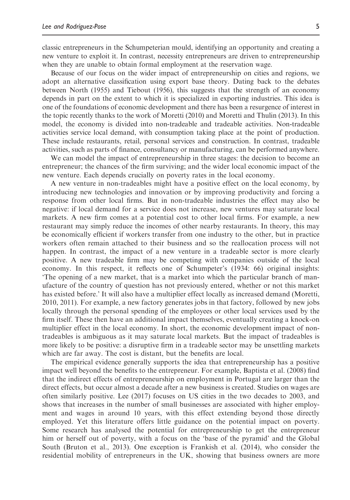classic entrepreneurs in the Schumpeterian mould, identifying an opportunity and creating a new venture to exploit it. In contrast, necessity entrepreneurs are driven to entrepreneurship when they are unable to obtain formal employment at the reservation wage.

Because of our focus on the wider impact of entrepreneurship on cities and regions, we adopt an alternative classification using export base theory. Dating back to the debates between North (1955) and Tiebout (1956), this suggests that the strength of an economy depends in part on the extent to which it is specialized in exporting industries. This idea is one of the foundations of economic development and there has been a resurgence of interest in the topic recently thanks to the work of Moretti (2010) and Moretti and Thulin (2013). In this model, the economy is divided into non-tradeable and tradeable activities. Non-tradeable activities service local demand, with consumption taking place at the point of production. These include restaurants, retail, personal services and construction. In contrast, tradeable activities, such as parts of finance, consultancy or manufacturing, can be performed anywhere.

We can model the impact of entrepreneurship in three stages: the decision to become an entrepreneur; the chances of the firm surviving; and the wider local economic impact of the new venture. Each depends crucially on poverty rates in the local economy.

A new venture in non-tradeables might have a positive effect on the local economy, by introducing new technologies and innovation or by improving productivity and forcing a response from other local firms. But in non-tradeable industries the effect may also be negative: if local demand for a service does not increase, new ventures may saturate local markets. A new firm comes at a potential cost to other local firms. For example, a new restaurant may simply reduce the incomes of other nearby restaurants. In theory, this may be economically efficient if workers transfer from one industry to the other, but in practice workers often remain attached to their business and so the reallocation process will not happen. In contrast, the impact of a new venture in a tradeable sector is more clearly positive. A new tradeable firm may be competing with companies outside of the local economy. In this respect, it reflects one of Schumpeter's (1934: 66) original insights: 'The opening of a new market, that is a market into which the particular branch of manufacture of the country of question has not previously entered, whether or not this market has existed before.' It will also have a multiplier effect locally as increased demand (Moretti, 2010, 2011). For example, a new factory generates jobs in that factory, followed by new jobs locally through the personal spending of the employees or other local services used by the firm itself. These then have an additional impact themselves, eventually creating a knock-on multiplier effect in the local economy. In short, the economic development impact of nontradeables is ambiguous as it may saturate local markets. But the impact of tradeables is more likely to be positive: a disruptive firm in a tradeable sector may be unsettling markets which are far away. The cost is distant, but the benefits are local.

The empirical evidence generally supports the idea that entrepreneurship has a positive impact well beyond the benefits to the entrepreneur. For example, Baptista et al. (2008) find that the indirect effects of entrepreneurship on employment in Portugal are larger than the direct effects, but occur almost a decade after a new business is created. Studies on wages are often similarly positive. Lee (2017) focuses on US cities in the two decades to 2003, and shows that increases in the number of small businesses are associated with higher employment and wages in around 10 years, with this effect extending beyond those directly employed. Yet this literature offers little guidance on the potential impact on poverty. Some research has analysed the potential for entrepreneurship to get the entrepreneur him or herself out of poverty, with a focus on the 'base of the pyramid' and the Global South (Bruton et al., 2013). One exception is Frankish et al. (2014), who consider the residential mobility of entrepreneurs in the UK, showing that business owners are more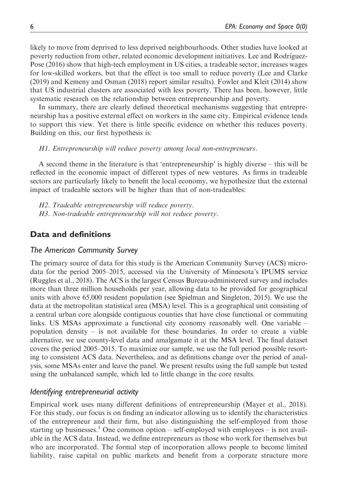likely to move from deprived to less deprived neighbourhoods. Other studies have looked at poverty reduction from other, related economic development initiatives. Lee and Rodríguez-Pose (2016) show that high-tech employment in US cities, a tradeable sector, increases wages for low-skilled workers, but that the effect is too small to reduce poverty (Lee and Clarke (2019) and Kemeny and Osman (2018) report similar results). Fowler and Kleit (2014) show that US industrial clusters are associated with less poverty. There has been, however, little systematic research on the relationship between entrepreneurship and poverty.

In summary, there are clearly defined theoretical mechanisms suggesting that entrepreneurship has a positive external effect on workers in the same city. Empirical evidence tends to support this view. Yet there is little specific evidence on whether this reduces poverty. Building on this, our first hypothesis is:

#### H1. Entrepreneurship will reduce poverty among local non-entrepreneurs.

A second theme in the literature is that 'entrepreneurship' is highly diverse – this will be reflected in the economic impact of different types of new ventures. As firms in tradeable sectors are particularly likely to benefit the local economy, we hypothesize that the external impact of tradeable sectors will be higher than that of non-tradeables:

H2. Tradeable entrepreneurship will reduce poverty. H3. Non-tradeable entrepreneurship will not reduce poverty.

## Data and definitions

#### The American Community Survey

The primary source of data for this study is the American Community Survey (ACS) microdata for the period 2005–2015, accessed via the University of Minnesota's IPUMS service (Ruggles et al., 2018). The ACS is the largest Census Bureau-administered survey and includes more than three million households per year, allowing data to be provided for geographical units with above 65,000 resident population (see Spielman and Singleton, 2015). We use the data at the metropolitan statistical area (MSA) level. This is a geographical unit consisting of a central urban core alongside contiguous counties that have close functional or commuting links. US MSAs approximate a functional city economy reasonably well. One variable – population density – is not available for these boundaries. In order to create a viable alternative, we use county-level data and amalgamate it at the MSA level. The final dataset covers the period 2005–2015. To maximize our sample, we use the full period possible resorting to consistent ACS data. Nevertheless, and as definitions change over the period of analysis, some MSAs enter and leave the panel. We present results using the full sample but tested using the unbalanced sample, which led to little change in the core results.

## Identifying entrepreneurial activity

Empirical work uses many different definitions of entrepreneurship (Mayer et al., 2018). For this study, our focus is on finding an indicator allowing us to identify the characteristics of the entrepreneur and their firm, but also distinguishing the self-employed from those starting up businesses.<sup>1</sup> One common option – self-employed with employees – is not available in the ACS data. Instead, we define entrepreneurs as those who work for themselves but who are incorporated. The formal step of incorporation allows people to become limited liability, raise capital on public markets and benefit from a corporate structure more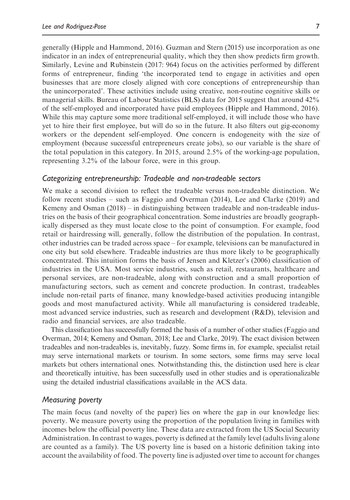generally (Hipple and Hammond, 2016). Guzman and Stern (2015) use incorporation as one indicator in an index of entrepreneurial quality, which they then show predicts firm growth. Similarly, Levine and Rubinstein (2017: 964) focus on the activities performed by different forms of entrepreneur, finding 'the incorporated tend to engage in activities and open businesses that are more closely aligned with core conceptions of entrepreneurship than the unincorporated'. These activities include using creative, non-routine cognitive skills or managerial skills. Bureau of Labour Statistics (BLS) data for 2015 suggest that around 42% of the self-employed and incorporated have paid employees (Hipple and Hammond, 2016). While this may capture some more traditional self-employed, it will include those who have yet to hire their first employee, but will do so in the future. It also filters out gig-economy workers or the dependent self-employed. One concern is endogeneity with the size of employment (because successful entrepreneurs create jobs), so our variable is the share of the total population in this category. In 2015, around 2.5% of the working-age population, representing 3.2% of the labour force, were in this group.

## Categorizing entrepreneurship: Tradeable and non-tradeable sectors

We make a second division to reflect the tradeable versus non-tradeable distinction. We follow recent studies – such as Faggio and Overman (2014), Lee and Clarke (2019) and Kemeny and Osman (2018) – in distinguishing between tradeable and non-tradeable industries on the basis of their geographical concentration. Some industries are broadly geographically dispersed as they must locate close to the point of consumption. For example, food retail or hairdressing will, generally, follow the distribution of the population. In contrast, other industries can be traded across space – for example, televisions can be manufactured in one city but sold elsewhere. Tradeable industries are thus more likely to be geographically concentrated. This intuition forms the basis of Jensen and Kletzer's (2006) classification of industries in the USA. Most service industries, such as retail, restaurants, healthcare and personal services, are non-tradeable, along with construction and a small proportion of manufacturing sectors, such as cement and concrete production. In contrast, tradeables include non-retail parts of finance, many knowledge-based activities producing intangible goods and most manufactured activity. While all manufacturing is considered tradeable, most advanced service industries, such as research and development (R&D), television and radio and financial services, are also tradeable.

This classification has successfully formed the basis of a number of other studies (Faggio and Overman, 2014; Kemeny and Osman, 2018; Lee and Clarke, 2019). The exact division between tradeables and non-tradeables is, inevitably, fuzzy. Some firms in, for example, specialist retail may serve international markets or tourism. In some sectors, some firms may serve local markets but others international ones. Notwithstanding this, the distinction used here is clear and theoretically intuitive, has been successfully used in other studies and is operationalizable using the detailed industrial classifications available in the ACS data.

## Measuring poverty

The main focus (and novelty of the paper) lies on where the gap in our knowledge lies: poverty. We measure poverty using the proportion of the population living in families with incomes below the official poverty line. These data are extracted from the US Social Security Administration. In contrast to wages, poverty is defined at the family level (adults living alone are counted as a family). The US poverty line is based on a historic definition taking into account the availability of food. The poverty line is adjusted over time to account for changes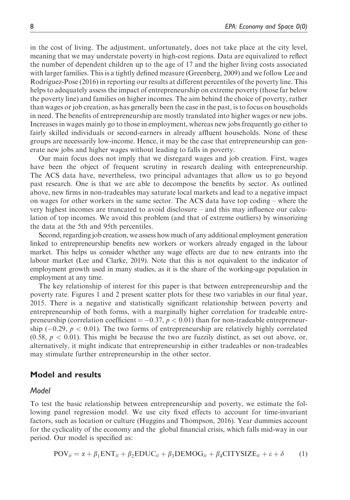in the cost of living. The adjustment, unfortunately, does not take place at the city level, meaning that we may understate poverty in high-cost regions. Data are equivalized to reflect the number of dependent children up to the age of 17 and the higher living costs associated with larger families. This is a tightly defined measure (Greenberg, 2009) and we follow Lee and Rodríguez-Pose (2016) in reporting our results at different percentiles of the poverty line. This helps to adequately assess the impact of entrepreneurship on extreme poverty (those far below the poverty line) and families on higher incomes. The aim behind the choice of poverty, rather than wages or job creation, as has generally been the case in the past, is to focus on households in need. The benefits of entrepreneurship are mostly translated into higher wages or new jobs. Increases in wages mainly go to those in employment, whereas new jobs frequently go either to fairly skilled individuals or second-earners in already affluent households. None of these groups are necessarily low-income. Hence, it may be the case that entrepreneurship can generate new jobs and higher wages without leading to falls in poverty.

Our main focus does not imply that we disregard wages and job creation. First, wages have been the object of frequent scrutiny in research dealing with entrepreneurship. The ACS data have, nevertheless, two principal advantages that allow us to go beyond past research. One is that we are able to decompose the benefits by sector. As outlined above, new firms in non-tradeables may saturate local markets and lead to a negative impact on wages for other workers in the same sector. The ACS data have top coding – where the very highest incomes are truncated to avoid disclosure – and this may influence our calculation of top incomes. We avoid this problem (and that of extreme outliers) by winsorizing the data at the 5th and 95th percentiles.

Second, regarding job creation, we assess how much of any additional employment generation linked to entrepreneurship benefits new workers or workers already engaged in the labour market. This helps us consider whether any wage effects are due to new entrants into the labour market (Lee and Clarke, 2019). Note that this is not equivalent to the indicator of employment growth used in many studies, as it is the share of the working-age population in employment at any time.

The key relationship of interest for this paper is that between entrepreneurship and the poverty rate. Figures 1 and 2 present scatter plots for these two variables in our final year, 2015. There is a negative and statistically significant relationship between poverty and entrepreneurship of both forms, with a marginally higher correlation for tradeable entrepreneurship (correlation coefficient  $= -0.37, p < 0.01$ ) than for non-tradeable entrepreneurship  $(-0.29, p < 0.01)$ . The two forms of entrepreneurship are relatively highly correlated  $(0.58, p < 0.01)$ . This might be because the two are fuzzily distinct, as set out above, or, alternatively, it might indicate that entrepreneurship in either tradeables or non-tradeables may stimulate further entrepreneurship in the other sector.

## Model and results

#### Model

To test the basic relationship between entrepreneurship and poverty, we estimate the following panel regression model. We use city fixed effects to account for time-invariant factors, such as location or culture (Huggins and Thompson, 2016). Year dummies account for the cyclicality of the economy and the global financial crisis, which falls mid-way in our period. Our model is specified as:

$$
POV_{it} = \alpha + \beta_1 ENT_{it} + \beta_2 EDUC_{it} + \beta_3 DEMOG_{it} + \beta_4 CITYSIZE_{it} + \varepsilon + \delta \tag{1}
$$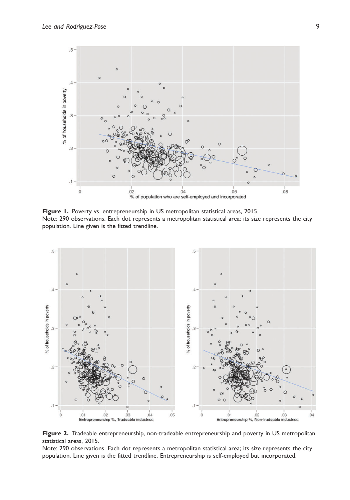

Figure 1. Poverty vs. entrepreneurship in US metropolitan statistical areas, 2015. Note: 290 observations. Each dot represents a metropolitan statistical area; its size represents the city population. Line given is the fitted trendline.



Figure 2. Tradeable entrepreneurship, non-tradeable entrepreneurship and poverty in US metropolitan statistical areas, 2015.

Note: 290 observations. Each dot represents a metropolitan statistical area; its size represents the city population. Line given is the fitted trendline. Entrepreneurship is self-employed but incorporated.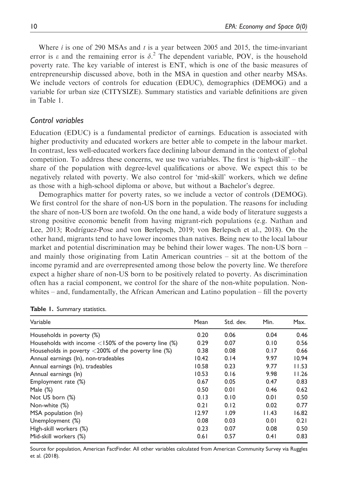Where  $i$  is one of 290 MSAs and  $t$  is a year between 2005 and 2015, the time-invariant error is  $\varepsilon$  and the remaining error is  $\delta$ .<sup>2</sup> The dependent variable, POV, is the household poverty rate. The key variable of interest is ENT, which is one of the basic measures of entrepreneurship discussed above, both in the MSA in question and other nearby MSAs. We include vectors of controls for education (EDUC), demographics (DEMOG) and a variable for urban size (CITYSIZE). Summary statistics and variable definitions are given in Table 1.

## Control variables

Education (EDUC) is a fundamental predictor of earnings. Education is associated with higher productivity and educated workers are better able to compete in the labour market. In contrast, less well-educated workers face declining labour demand in the context of global competition. To address these concerns, we use two variables. The first is 'high-skill' – the share of the population with degree-level qualifications or above. We expect this to be negatively related with poverty. We also control for 'mid-skill' workers, which we define as those with a high-school diploma or above, but without a Bachelor's degree.

Demographics matter for poverty rates, so we include a vector of controls (DEMOG). We first control for the share of non-US born in the population. The reasons for including the share of non-US born are twofold. On the one hand, a wide body of literature suggests a strong positive economic benefit from having migrant-rich populations (e.g. Nathan and Lee, 2013; Rodríguez-Pose and von Berlepsch, 2019; von Berlepsch et al., 2018). On the other hand, migrants tend to have lower incomes than natives. Being new to the local labour market and potential discrimination may be behind their lower wages. The non-US born – and mainly those originating from Latin American countries – sit at the bottom of the income pyramid and are overrepresented among those below the poverty line. We therefore expect a higher share of non-US born to be positively related to poverty. As discrimination often has a racial component, we control for the share of the non-white population. Nonwhites – and, fundamentally, the African American and Latino population – fill the poverty

| Variable                                                      | Mean  | Std. dev. | Min.  | Max.  |
|---------------------------------------------------------------|-------|-----------|-------|-------|
| Households in poverty (%)                                     | 0.20  | 0.06      | 0.04  | 0.46  |
| Households with income $\langle$ 150% of the poverty line (%) | 0.29  | 0.07      | 0.10  | 0.56  |
| Households in poverty $\langle 200\%$ of the poverty line (%) | 0.38  | 0.08      | 0.17  | 0.66  |
| Annual earnings (ln), non-tradeables                          | 10.42 | 0.14      | 9.97  | 10.94 |
| Annual earnings (ln), tradeables                              | 10.58 | 0.23      | 9.77  | 11.53 |
| Annual earnings (ln)                                          | 10.53 | 0.16      | 9.98  | 11.26 |
| Employment rate (%)                                           | 0.67  | 0.05      | 0.47  | 0.83  |
| Male $(\%)$                                                   | 0.50  | 0.01      | 0.46  | 0.62  |
| Not US born (%)                                               | 0.13  | 0.10      | 0.01  | 0.50  |
| Non-white (%)                                                 | 0.21  | 0.12      | 0.02  | 0.77  |
| MSA population (ln)                                           | 12.97 | 1.09      | 11.43 | 16.82 |
| Unemployment (%)                                              | 0.08  | 0.03      | 0.01  | 0.21  |
| High-skill workers (%)                                        | 0.23  | 0.07      | 0.08  | 0.50  |
| Mid-skill workers (%)                                         | 0.61  | 0.57      | 0.41  | 0.83  |

Table 1. Summary statistics.

Source for population, American FactFinder. All other variables calculated from American Community Survey via Ruggles et al. (2018).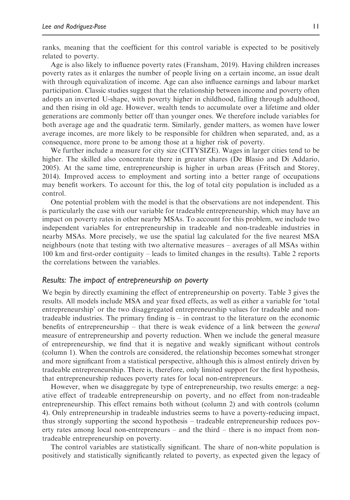ranks, meaning that the coefficient for this control variable is expected to be positively related to poverty.

Age is also likely to influence poverty rates (Fransham, 2019). Having children increases poverty rates as it enlarges the number of people living on a certain income, an issue dealt with through equivalization of income. Age can also influence earnings and labour market participation. Classic studies suggest that the relationship between income and poverty often adopts an inverted U-shape, with poverty higher in childhood, falling through adulthood, and then rising in old age. However, wealth tends to accumulate over a lifetime and older generations are commonly better off than younger ones. We therefore include variables for both average age and the quadratic term. Similarly, gender matters, as women have lower average incomes, are more likely to be responsible for children when separated, and, as a consequence, more prone to be among those at a higher risk of poverty.

We further include a measure for city size (CITYSIZE). Wages in larger cities tend to be higher. The skilled also concentrate there in greater shares (De Blasio and Di Addario, 2005). At the same time, entrepreneurship is higher in urban areas (Fritsch and Storey, 2014). Improved access to employment and sorting into a better range of occupations may benefit workers. To account for this, the log of total city population is included as a control.

One potential problem with the model is that the observations are not independent. This is particularly the case with our variable for tradeable entrepreneurship, which may have an impact on poverty rates in other nearby MSAs. To account for this problem, we include two independent variables for entrepreneurship in tradeable and non-tradeable industries in nearby MSAs. More precisely, we use the spatial lag calculated for the five nearest MSA neighbours (note that testing with two alternative measures – averages of all MSAs within 100 km and first-order contiguity – leads to limited changes in the results). Table 2 reports the correlations between the variables.

## Results: The impact of entrepreneurship on poverty

We begin by directly examining the effect of entrepreneurship on poverty. Table 3 gives the results. All models include MSA and year fixed effects, as well as either a variable for 'total entrepreneurship' or the two disaggregated entrepreneurship values for tradeable and nontradeable industries. The primary finding is – in contrast to the literature on the economic benefits of entrepreneurship – that there is weak evidence of a link between the *general* measure of entrepreneurship and poverty reduction. When we include the general measure of entrepreneurship, we find that it is negative and weakly significant without controls (column 1). When the controls are considered, the relationship becomes somewhat stronger and more significant from a statistical perspective, although this is almost entirely driven by tradeable entrepreneurship. There is, therefore, only limited support for the first hypothesis, that entrepreneurship reduces poverty rates for local non-entrepreneurs.

However, when we disaggregate by type of entrepreneurship, two results emerge: a negative effect of tradeable entrepreneurship on poverty, and no effect from non-tradeable entrepreneurship. This effect remains both without (column 2) and with controls (column 4). Only entrepreneurship in tradeable industries seems to have a poverty-reducing impact, thus strongly supporting the second hypothesis – tradeable entrepreneurship reduces poverty rates among local non-entrepreneurs – and the third – there is no impact from nontradeable entrepreneurship on poverty.

The control variables are statistically significant. The share of non-white population is positively and statistically significantly related to poverty, as expected given the legacy of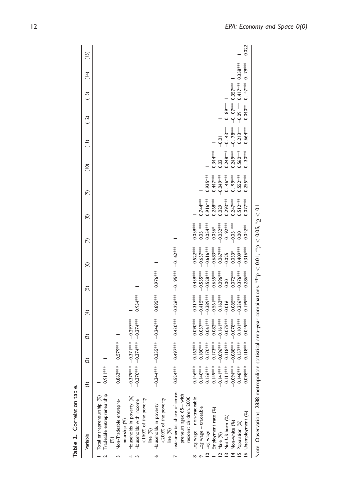|             | Variable                                      |             | $\widehat{c}$        | $\widehat{\mathcal{C}}$                                                                                                    | $\widehat{\mathbf{f}}$                            | $\widetilde{\Theta}$ | $\circledcirc$ | $\in$       | @           | $\widehat{\mathfrak{G}}$ | $\frac{1}{2}$ | $\widehat{=}$ | (12)                                                 | $\begin{pmatrix} 1 & 3 \\ 1 & 2 \end{pmatrix}$ | (14) | (15)     |
|-------------|-----------------------------------------------|-------------|----------------------|----------------------------------------------------------------------------------------------------------------------------|---------------------------------------------------|----------------------|----------------|-------------|-------------|--------------------------|---------------|---------------|------------------------------------------------------|------------------------------------------------|------|----------|
|             | Total entrepreneurship (%)                    |             |                      |                                                                                                                            |                                                   |                      |                |             |             |                          |               |               |                                                      |                                                |      |          |
|             | Tradeable entrepreneurship<br>$\mathcal{E}$   | 0.911***    |                      |                                                                                                                            |                                                   |                      |                |             |             |                          |               |               |                                                      |                                                |      |          |
|             | Non-Tradeable entrepre-                       | $0.863***$  | $0.579***$           |                                                                                                                            |                                                   |                      |                |             |             |                          |               |               |                                                      |                                                |      |          |
|             | neurship (%)                                  |             |                      |                                                                                                                            |                                                   |                      |                |             |             |                          |               |               |                                                      |                                                |      |          |
| 4           | Households in poverty (%)                     | $-0.379***$ | $-0.371***-0.297***$ |                                                                                                                            |                                                   |                      |                |             |             |                          |               |               |                                                      |                                                |      |          |
|             | Households with income                        | $-0.370***$ | $-0.374***-0.274***$ |                                                                                                                            | $0.954***$                                        |                      |                |             |             |                          |               |               |                                                      |                                                |      |          |
|             | <150% of the poverty<br>line (%)              |             |                      |                                                                                                                            |                                                   |                      |                |             |             |                          |               |               |                                                      |                                                |      |          |
|             |                                               |             |                      |                                                                                                                            |                                                   |                      |                |             |             |                          |               |               |                                                      |                                                |      |          |
| o           | <200% of the poverty<br>Households in poverty | $-0.344***$ | $-0.355***-0.246***$ |                                                                                                                            | $0.895***$                                        | $0.976***$           |                |             |             |                          |               |               |                                                      |                                                |      |          |
|             | line (%)                                      |             |                      |                                                                                                                            |                                                   |                      |                |             |             |                          |               |               |                                                      |                                                |      |          |
|             | Instrumental: share of entre-                 | $0.524***$  | $0.497***$           |                                                                                                                            |                                                   |                      |                |             |             |                          |               |               |                                                      |                                                |      |          |
|             | preneurs aged 65+ with                        |             |                      |                                                                                                                            |                                                   |                      |                |             |             |                          |               |               |                                                      |                                                |      |          |
|             | resident children, 2000                       |             |                      |                                                                                                                            |                                                   |                      |                |             |             |                          |               |               |                                                      |                                                |      |          |
| $\infty$    | Log wage - non-tradeable                      | $0.146***$  | $0.162***$           |                                                                                                                            | <sub>****</sub> 6f\$+0− → *****L1E.0− → ****060.0 |                      | $-0.522***$    | $0.059***$  |             |                          |               |               |                                                      |                                                |      |          |
|             | Log wage - tradeable                          | $0.140***$  | $0.180***$           | $0.057***$                                                                                                                 | $-0.415*** -0.55***$                              |                      | $-0.637***$    | $0.051***$  | $0.744***$  |                          |               |               |                                                      |                                                |      |          |
| $\subseteq$ | Log wage                                      | $0.136***$  | $0.170***$           | $0.061***$                                                                                                                 | $-0.389***$                                       | $-0.528***$          | $-0.616***$    | $0.054***$  | $0.916***$  | $0.935***$               |               |               |                                                      |                                                |      |          |
|             | II Employment rate (%)                        | $0.149***$  | $0.173***$           | $0.082***$                                                                                                                 | $-0.56$  ***                                      | $-0.655***$          | $-0.683***$    | $0.036*$    | $0.268***$  | $0.447***$               | $0.344***$    |               |                                                      |                                                |      |          |
|             | 12 Male (%)                                   | $-0.141***$ | $-0.096***$          | $-0.161***$                                                                                                                | $0.163***$                                        | $0.096***$           | $0.067***$     | $-0.052***$ | 0.029       | $-0.049*2$               | 0.021         | $-0.01$       |                                                      |                                                |      |          |
|             | 13 Not US born (%)                            | $0.111***$  | $0.118***$           | $0.075***$                                                                                                                 | $-0.016$                                          | 0.001                | $-0.025$       | $0.192***$  | $0.293***$  | $0.146***$               | $0.248***$    | $-0.143***$   | $0.189***$                                           |                                                |      |          |
|             | 14 Non-white (%)                              | $-0.094***$ | $-0.088***$          | $-0.078***$                                                                                                                | $0.085***$                                        | $0.072***$           | $0.033*$       | $-0.051***$ | $0.247***$  | $0.199***$               | $0.249***$    | $-0.178***$   | $-0.10357$ *** $\sim$                                |                                                |      |          |
|             | 15 Population (%)                             | $0.148***$  | $0.157***$           | $0.101***$                                                                                                                 | $-0.336***$                                       | $-0.376***$          | $-0.409***$    | 0.001       | $0.512***$  | $0.552***$               | $0.560***$    |               | $0.213***$<br>$0.091***$<br>$0.417***$<br>$0.358***$ |                                                |      |          |
|             | 16 Unemployment (%)                           | $0.098***$  | $-0.118***$          | $-0.049***$                                                                                                                | $0.199***$                                        | $0.286***$           | $0.316***$     | $-0.042**$  | $-0.077***$ | $-0.255***$              | $-0.130***$   | $-0.664***$   | $-0.040*$                                            | $0.147***$ 0.179***                            |      | $-0.022$ |
|             | Nata: Obcamationa: 1999 motionalitan          |             |                      | the local organ vacuum combinations assumed as a computation of the state of the state of the state of the state of $\sim$ |                                                   |                      |                |             |             |                          |               |               |                                                      |                                                |      |          |

Table 2. Correlation table. Table 2. Correlation table.

 $\beta_{\rm p} < 0.0$  l ,  $\gamma_{\rm sp} < 0.05$ ,  $\gamma_{\rm p} < 0.1$  . Note: Observations: 2888 metropolitan statistical area–year combinations.  $^{*}\!\!*\,^*\!p \sim 0.01, \,^{*\!*\!*\!*}p \sim 0.01, \,^{*\!*\!*\!*}p \sim 0.1.$ Note: Observations: 2888 metropolitan statistical area-year combinations.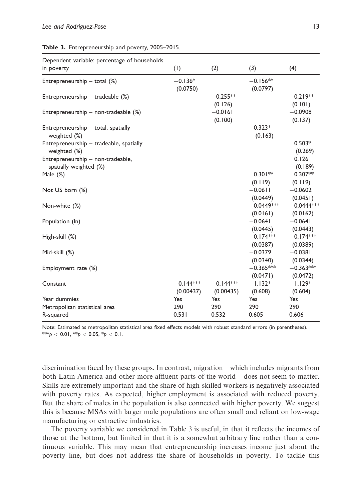| Dependent variable: percentage of households                |                         |                         |                         |                         |
|-------------------------------------------------------------|-------------------------|-------------------------|-------------------------|-------------------------|
| in poverty                                                  | (1)                     | (2)                     | (3)                     | (4)                     |
| Entrepreneurship $-$ total (%)                              | $-0.136*$<br>(0.0750)   |                         | $-0.156**$<br>(0.0797)  |                         |
| Entrepreneurship – tradeable $(\%)$                         |                         | $-0.255**$<br>(0.126)   |                         | $-0.219**$<br>(0.101)   |
| Entrepreneurship - non-tradeable (%)                        |                         | $-0.0161$<br>(0.100)    |                         | $-0.0908$<br>(0.137)    |
| Entrepreneurship – total, spatially<br>weighted (%)         |                         |                         | $0.323*$<br>(0.163)     |                         |
| Entrepreneurship - tradeable, spatially<br>weighted (%)     |                         |                         |                         | $0.503*$<br>(0.269)     |
| Entrepreneurship - non-tradeable,<br>spatially weighted (%) |                         |                         |                         | 0.126<br>(0.189)        |
| Male $(\%)$                                                 |                         |                         | $0.301**$<br>(0.119)    | $0.307**$<br>(0.119)    |
| Not US born (%)                                             |                         |                         | $-0.0611$<br>(0.0449)   | $-0.0602$<br>(0.0451)   |
| Non-white (%)                                               |                         |                         | $0.0449***$<br>(0.0161) | $0.0444**$<br>(0.0162)  |
| Population (In)                                             |                         |                         | $-0.0641$<br>(0.0445)   | $-0.0641$<br>(0.0443)   |
| High-skill (%)                                              |                         |                         | $-0.174***$<br>(0.0387) | $-0.174***$<br>(0.0389) |
| Mid-skill (%)                                               |                         |                         | $-0.0379$<br>(0.0340)   | $-0.0381$<br>(0.0344)   |
| Employment rate (%)                                         |                         |                         | $-0.365***$<br>(0.0471) | $-0.363***$<br>(0.0472) |
| Constant                                                    | $0.144***$<br>(0.00437) | $0.144***$<br>(0.00435) | $1.132*$<br>(0.608)     | $1.129*$<br>(0.604)     |
| Year dummies                                                | Yes                     | Yes                     | Yes                     | Yes                     |
| Metropolitan statistical area<br>R-squared                  | 290<br>0.531            | 290<br>0.532            | 290<br>0.605            | 290<br>0.606            |

Note: Estimated as metropolitan statistical area fixed effects models with robust standard errors (in parentheses). \*\*\*p  $< 0.01$ , \*\*p  $< 0.05$ , \*p  $< 0.1$ .

discrimination faced by these groups. In contrast, migration – which includes migrants from both Latin America and other more affluent parts of the world – does not seem to matter. Skills are extremely important and the share of high-skilled workers is negatively associated with poverty rates. As expected, higher employment is associated with reduced poverty. But the share of males in the population is also connected with higher poverty. We suggest this is because MSAs with larger male populations are often small and reliant on low-wage manufacturing or extractive industries.

The poverty variable we considered in Table 3 is useful, in that it reflects the incomes of those at the bottom, but limited in that it is a somewhat arbitrary line rather than a continuous variable. This may mean that entrepreneurship increases income just about the poverty line, but does not address the share of households in poverty. To tackle this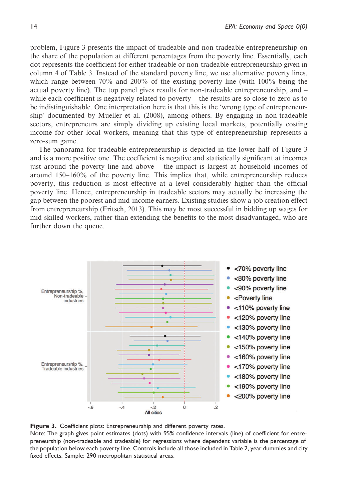problem, Figure 3 presents the impact of tradeable and non-tradeable entrepreneurship on the share of the population at different percentages from the poverty line. Essentially, each dot represents the coefficient for either tradeable or non-tradeable entrepreneurship given in column 4 of Table 3. Instead of the standard poverty line, we use alternative poverty lines, which range between 70% and 200% of the existing poverty line (with 100% being the actual poverty line). The top panel gives results for non-tradeable entrepreneurship, and – while each coefficient is negatively related to poverty – the results are so close to zero as to be indistinguishable. One interpretation here is that this is the 'wrong type of entrepreneurship' documented by Mueller et al. (2008), among others. By engaging in non-tradeable sectors, entrepreneurs are simply dividing up existing local markets, potentially costing income for other local workers, meaning that this type of entrepreneurship represents a zero-sum game.

The panorama for tradeable entrepreneurship is depicted in the lower half of Figure 3 and is a more positive one. The coefficient is negative and statistically significant at incomes just around the poverty line and above – the impact is largest at household incomes of around 150–160% of the poverty line. This implies that, while entrepreneurship reduces poverty, this reduction is most effective at a level considerably higher than the official poverty line. Hence, entrepreneurship in tradeable sectors may actually be increasing the gap between the poorest and mid-income earners. Existing studies show a job creation effect from entrepreneurship (Fritsch, 2013). This may be most successful in bidding up wages for mid-skilled workers, rather than extending the benefits to the most disadvantaged, who are further down the queue.



Figure 3. Coefficient plots: Entrepreneurship and different poverty rates.

Note: The graph gives point estimates (dots) with 95% confidence intervals (line) of coefficient for entrepreneurship (non-tradeable and tradeable) for regressions where dependent variable is the percentage of the population below each poverty line. Controls include all those included in Table 2, year dummies and city fixed effects. Sample: 290 metropolitan statistical areas.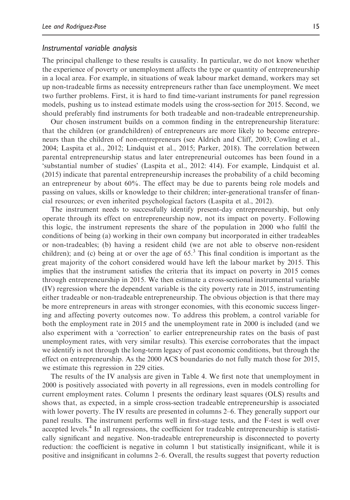#### Instrumental variable analysis

The principal challenge to these results is causality. In particular, we do not know whether the experience of poverty or unemployment affects the type or quantity of entrepreneurship in a local area. For example, in situations of weak labour market demand, workers may set up non-tradeable firms as necessity entrepreneurs rather than face unemployment. We meet two further problems. First, it is hard to find time-variant instruments for panel regression models, pushing us to instead estimate models using the cross-section for 2015. Second, we should preferably find instruments for both tradeable and non-tradeable entrepreneurship.

Our chosen instrument builds on a common finding in the entrepreneurship literature: that the children (or grandchildren) of entrepreneurs are more likely to become entrepreneurs than the children of non-entrepreneurs (see Aldrich and Cliff, 2003; Cowling et al., 2004; Laspita et al., 2012; Lindquist et al., 2015; Parker, 2018). The correlation between parental entrepreneurship status and later entrepreneurial outcomes has been found in a 'substantial number of studies' (Laspita et al., 2012: 414). For example, Lindquist et al. (2015) indicate that parental entrepreneurship increases the probability of a child becoming an entrepreneur by about 60%. The effect may be due to parents being role models and passing on values, skills or knowledge to their children; inter-generational transfer of financial resources; or even inherited psychological factors (Laspita et al., 2012).

The instrument needs to successfully identify present-day entrepreneurship, but only operate through its effect on entrepreneurship now, not its impact on poverty. Following this logic, the instrument represents the share of the population in 2000 who fulfil the conditions of being (a) working in their own company but incorporated in either tradeables or non-tradeables; (b) having a resident child (we are not able to observe non-resident children); and (c) being at or over the age of  $65<sup>3</sup>$ . This final condition is important as the great majority of the cohort considered would have left the labour market by 2015. This implies that the instrument satisfies the criteria that its impact on poverty in 2015 comes through entrepreneurship in 2015. We then estimate a cross-sectional instrumental variable (IV) regression where the dependent variable is the city poverty rate in 2015, instrumenting either tradeable or non-tradeable entrepreneurship. The obvious objection is that there may be more entrepreneurs in areas with stronger economies, with this economic success lingering and affecting poverty outcomes now. To address this problem, a control variable for both the employment rate in 2015 and the unemployment rate in 2000 is included (and we also experiment with a 'correction' to earlier entrepreneurship rates on the basis of past unemployment rates, with very similar results). This exercise corroborates that the impact we identify is not through the long-term legacy of past economic conditions, but through the effect on entrepreneurship. As the 2000 ACS boundaries do not fully match those for 2015, we estimate this regression in 229 cities.

The results of the IV analysis are given in Table 4. We first note that unemployment in 2000 is positively associated with poverty in all regressions, even in models controlling for current employment rates. Column 1 presents the ordinary least squares (OLS) results and shows that, as expected, in a simple cross-section tradeable entrepreneurship is associated with lower poverty. The IV results are presented in columns 2–6. They generally support our panel results. The instrument performs well in first-stage tests, and the F-test is well over accepted levels.<sup>4</sup> In all regressions, the coefficient for tradeable entrepreneurship is statistically significant and negative. Non-tradeable entrepreneurship is disconnected to poverty reduction: the coefficient is negative in column 1 but statistically insignificant, while it is positive and insignificant in columns 2–6. Overall, the results suggest that poverty reduction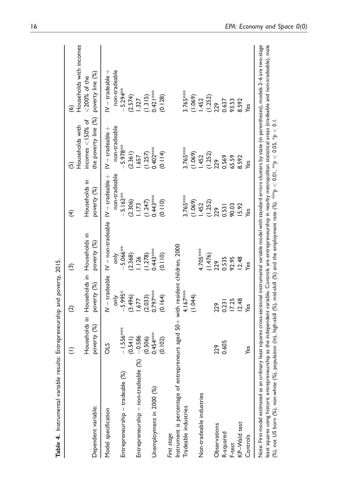| $\widehat{=}$                                                                   |               | $\widehat{\alpha}$          | ම                                       | $\widehat{\mathfrak{t}}$ | ල                         | $\circledast$           |
|---------------------------------------------------------------------------------|---------------|-----------------------------|-----------------------------------------|--------------------------|---------------------------|-------------------------|
|                                                                                 |               |                             |                                         |                          | Households with           | Households with incomes |
|                                                                                 | Households in | Households in Households in |                                         | Households in            | incomes $\langle$ 150% of | $<$ 200% of the         |
| Dependent variable:                                                             | poverty (%)   | poverty (%)                 | poverty (%)                             | poverty (%)              | the poverty line (%)      | poverty line (%)        |
| STO<br>Model specification                                                      |               | $N - tradable$              | $N$ – non-tradeable $N$ – tradeable $+$ |                          | $N -$ tradeable $+$       | $N - \text{tradeabe} +$ |
|                                                                                 |               | $rac{y}{\sqrt{2}}$          | $\sum_{i=1}^{n}$                        | non-tradeable            | non-tradeable             | non-tradeable           |
| Entrepreneurship - tradeable (%)                                                | $-1.556***$   | -5.995*                     | $-5.066**$                              | $-5.162**$               | $5.978**$                 | 5.294**                 |
| (0.541)                                                                         |               | (3.496)                     | (2.368)                                 | (2.306)                  |                           | $(2.574)$<br>$1.327$    |
| Entrepreneurship - non-tradeable (%)                                            | $-0.586$      | 1.677                       | 1.126                                   | $\overline{173}$         | $(2.361)$<br>$1.657$      |                         |
| (0.506)                                                                         |               | (2.033)                     | (1.278)                                 | (1.247)                  | (1.257)                   | (1.315)                 |
| Unemployment in 2000 (%)                                                        | $0.454***$    | $0.797***$                  | $0.443***$                              | $0.443***$               | $0.402***$                | $0.421***$              |
| (0.102)                                                                         |               | (0.164)                     | (0.110)                                 | (0.110)                  | (0.114)                   | (0.128)                 |
| First stage                                                                     |               |                             |                                         |                          |                           |                         |
| Instrument is percentage of entrepreneurs aged 50+ with resident children, 2000 |               |                             |                                         |                          |                           |                         |
| Tradeable industries                                                            |               | $4.167***$                  |                                         | $3.765***$               | $3.765***$                | $3.765***$              |
|                                                                                 |               | (1.044)                     |                                         | (690.1)                  | (1.069)                   | (1.069)                 |
| Non-tradeable industries                                                        |               |                             | 4.705***                                | 1.452                    | <b>452</b>                | 1.452                   |
|                                                                                 |               |                             | (1.476)                                 | $(1.252)$<br>229         | (1.252)                   | (1.252)                 |
| 229<br>Observations                                                             |               | 229                         | 229                                     |                          | 229                       | 229                     |
| 0.605<br>R-squared                                                              |               | 0.231                       | 0.535                                   | 0.531                    | 0.569                     | 0.637                   |
| F-test                                                                          |               | <b>17.25</b>                | 92.95<br>12.48                          | 90.03                    | 65.59<br>8.592            | 93.53<br>8.592          |
| KP-Wald test                                                                    |               | 12.48                       |                                         | 15.92                    |                           |                         |
| yes<br>Controls                                                                 |               | yes                         | Yes                                     | Yes                      | Yes                       | yes                     |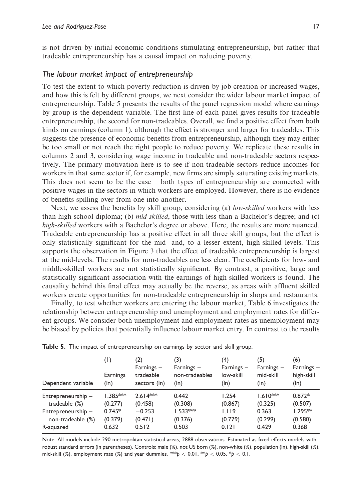is not driven by initial economic conditions stimulating entrepreneurship, but rather that tradeable entrepreneurship has a causal impact on reducing poverty.

## The labour market impact of entrepreneurship

To test the extent to which poverty reduction is driven by job creation or increased wages, and how this is felt by different groups, we next consider the wider labour market impact of entrepreneurship. Table 5 presents the results of the panel regression model where earnings by group is the dependent variable. The first line of each panel gives results for tradeable entrepreneurship, the second for non-tradeables. Overall, we find a positive effect from both kinds on earnings (column 1), although the effect is stronger and larger for tradeables. This suggests the presence of economic benefits from entrepreneurship, although they may either be too small or not reach the right people to reduce poverty. We replicate these results in columns 2 and 3, considering wage income in tradeable and non-tradeable sectors respectively. The primary motivation here is to see if non-tradeable sectors reduce incomes for workers in that same sector if, for example, new firms are simply saturating existing markets. This does not seem to be the case – both types of entrepreneurship are connected with positive wages in the sectors in which workers are employed. However, there is no evidence of benefits spilling over from one into another.

Next, we assess the benefits by skill group, considering (a) low-skilled workers with less than high-school diploma; (b) mid-skilled, those with less than a Bachelor's degree; and (c) high-skilled workers with a Bachelor's degree or above. Here, the results are more nuanced. Tradeable entrepreneurship has a positive effect in all three skill groups, but the effect is only statistically significant for the mid- and, to a lesser extent, high-skilled levels. This supports the observation in Figure 3 that the effect of tradeable entrepreneurship is largest at the mid-levels. The results for non-tradeables are less clear. The coefficients for low- and middle-skilled workers are not statistically significant. By contrast, a positive, large and statistically significant association with the earnings of high-skilled workers is found. The causality behind this final effect may actually be the reverse, as areas with affluent skilled workers create opportunities for non-tradeable entrepreneurship in shops and restaurants.

Finally, to test whether workers are entering the labour market, Table 6 investigates the relationship between entrepreneurship and unemployment and employment rates for different groups. We consider both unemployment and employment rates as unemployment may be biased by policies that potentially influence labour market entry. In contrast to the results

| Dependent variable | (1)<br>Earnings<br>(ln) | (2)<br>Earnings $-$<br>tradeable<br>sectors (ln) | (3)<br>Earnings $-$<br>non-tradeables<br>$(\ln)$ | (4)<br>Earnings $-$<br>low-skill<br>$(\ln)$ | (5)<br>Earnings $-$<br>mid-skill<br>$(\ln)$ | (6)<br>Earnings -<br>high-skill<br>$(\ln)$ |
|--------------------|-------------------------|--------------------------------------------------|--------------------------------------------------|---------------------------------------------|---------------------------------------------|--------------------------------------------|
| Entrepreneurship - | $1.385***$              | $2.614***$                                       | 0.442                                            | 1.254                                       | $1.610***$                                  | $0.872*$                                   |
| tradeable (%)      | (0.277)                 | (0.458)                                          | (0.308)                                          | (0.867)                                     | (0.325)                                     | (0.507)                                    |
| Entrepreneurship - | $0.745*$                | $-0.253$                                         | $1.533***$                                       | 1.119                                       | 0.363                                       | $1.295**$                                  |
| non-tradeable (%)  | (0.379)                 | (0.471)                                          | (0.376)                                          | (0.779)                                     | (0.299)                                     | (0.580)                                    |
| R-squared          | 0.632                   | 0.512                                            | 0.503                                            | 0.121                                       | 0.429                                       | 0.368                                      |

Table 5. The impact of entrepreneurship on earnings by sector and skill group.

Note: All models include 290 metropolitan statistical areas, 2888 observations. Estimated as fixed effects models with robust standard errors (in parentheses). Controls: male (%), not US born (%), non-white (%), population (ln), high-skill (%), mid-skill (%), employment rate (%) and year dummies. \*\*\* $p < 0.01$ , \*\* $p < 0.05$ , \* $p < 0.1$ .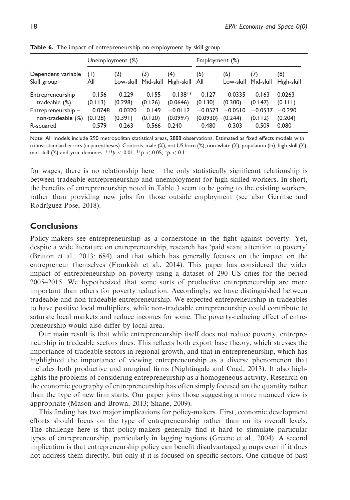|                                   | Unemployment (%) |          |          |                                           | Employment (%) |           |                            |                   |
|-----------------------------------|------------------|----------|----------|-------------------------------------------|----------------|-----------|----------------------------|-------------------|
| Dependent variable<br>Skill group | (1)<br>All       | (2)      | (3)      | (4)<br>Low-skill Mid-skill High-skill All | (5)            | (6)       | (7)<br>Low-skill Mid-skill | (8)<br>High-skill |
| Entrepreneurship $-$              | $-0.156$         | $-0.229$ | $-0.155$ | $-0.138**$                                | 0.127          | $-0.0335$ | 0.163                      | 0.0263            |
| tradeable (%)                     | (0.113)          | (0.298)  | (0.126)  | (0.0646)                                  | (0.130)        | (0.300)   | (0.147)                    | (0.111)           |
| Entrepreneurship $-$              | 0.0748           | 0.0320   | 0.149    | $-0.0112$                                 | $-0.0573$      | $-0.0510$ | $-0.0537$                  | $-0.290$          |
| non-tradeable (%)                 | (0.128)          | (0.391)  | (0.120)  | (0.0997)                                  | (0.0930)       | (0.244)   | (0.112)                    | (0.204)           |
| R-squared                         | 0.579            | 0.263    | 0.566    | 0.240                                     | 0.480          | 0.303     | 0.509                      | 0.080             |

Table 6. The impact of entrepreneurship on employment by skill group.

Note: All models include 290 metropolitan statistical areas, 2888 observations. Estimated as fixed effects models with robust standard errors (in parentheses). Controls: male (%), not US born (%), non-white (%), population (ln), high-skill (%), mid-skill (%) and year dummies.  $**p < 0.01$ ,  $**p < 0.05$ ,  $*p < 0.1$ .

for wages, there is no relationship here – the only statistically significant relationship is between tradeable entrepreneurship and unemployment for high-skilled workers. In short, the benefits of entrepreneurship noted in Table 3 seem to be going to the existing workers, rather than providing new jobs for those outside employment (see also Gerritse and Rodríguez-Pose, 2018).

## **Conclusions**

Policy-makers see entrepreneurship as a cornerstone in the fight against poverty. Yet, despite a wide literature on entrepreneurship, research has 'paid scant attention to poverty' (Bruton et al., 2013: 684), and that which has generally focuses on the impact on the entrepreneur themselves (Frankish et al., 2014). This paper has considered the wider impact of entrepreneurship on poverty using a dataset of 290 US cities for the period 2005–2015. We hypothesized that some sorts of productive entrepreneurship are more important than others for poverty reduction. Accordingly, we have distinguished between tradeable and non-tradeable entrepreneurship. We expected entrepreneurship in tradeables to have positive local multipliers, while non-tradeable entrepreneurship could contribute to saturate local markets and reduce incomes for some. The poverty-reducing effect of entrepreneurship would also differ by local area.

Our main result is that while entrepreneurship itself does not reduce poverty, entrepreneurship in tradeable sectors does. This reflects both export base theory, which stresses the importance of tradeable sectors in regional growth, and that in entrepreneurship, which has highlighted the importance of viewing entrepreneurship as a diverse phenomenon that includes both productive and marginal firms (Nightingale and Coad, 2013). It also highlights the problems of considering entrepreneurship as a homogeneous activity. Research on the economic geography of entrepreneurship has often simply focused on the quantity rather than the type of new firm starts. Our paper joins those suggesting a more nuanced view is appropriate (Mason and Brown, 2013; Shane, 2009).

This finding has two major implications for policy-makers. First, economic development efforts should focus on the type of entrepreneurship rather than on its overall levels. The challenge here is that policy-makers generally find it hard to stimulate particular types of entrepreneurship, particularly in lagging regions (Greene et al., 2004). A second implication is that entrepreneurship policy can benefit disadvantaged groups even if it does not address them directly, but only if it is focused on specific sectors. One critique of past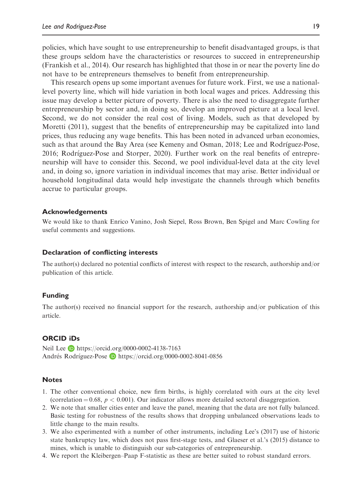policies, which have sought to use entrepreneurship to benefit disadvantaged groups, is that these groups seldom have the characteristics or resources to succeed in entrepreneurship (Frankish et al., 2014). Our research has highlighted that those in or near the poverty line do not have to be entrepreneurs themselves to benefit from entrepreneurship.

This research opens up some important avenues for future work. First, we use a nationallevel poverty line, which will hide variation in both local wages and prices. Addressing this issue may develop a better picture of poverty. There is also the need to disaggregate further entrepreneurship by sector and, in doing so, develop an improved picture at a local level. Second, we do not consider the real cost of living. Models, such as that developed by Moretti (2011), suggest that the benefits of entrepreneurship may be capitalized into land prices, thus reducing any wage benefits. This has been noted in advanced urban economies, such as that around the Bay Area (see Kemeny and Osman, 2018; Lee and Rodrıguez-Pose, 2016; Rodrıguez-Pose and Storper, 2020). Further work on the real benefits of entrepreneurship will have to consider this. Second, we pool individual-level data at the city level and, in doing so, ignore variation in individual incomes that may arise. Better individual or household longitudinal data would help investigate the channels through which benefits accrue to particular groups.

#### Acknowledgements

We would like to thank Enrico Vanino, Josh Siepel, Ross Brown, Ben Spigel and Marc Cowling for useful comments and suggestions.

#### Declaration of conflicting interests

The author(s) declared no potential conflicts of interest with respect to the research, authorship and/or publication of this article.

#### Funding

The author(s) received no financial support for the research, authorship and/or publication of this article.

#### ORCID iDs

Neil Lee **b** <https://orcid.org/0000-0002-4138-7163> Andrés Rodríguez-Pose D <https://orcid.org/0000-0002-8041-0856>

#### **Notes**

- 1. The other conventional choice, new firm births, is highly correlated with ours at the city level (correlation  $= 0.68$ ,  $p < 0.001$ ). Our indicator allows more detailed sectoral disaggregation.
- 2. We note that smaller cities enter and leave the panel, meaning that the data are not fully balanced. Basic testing for robustness of the results shows that dropping unbalanced observations leads to little change to the main results.
- 3. We also experimented with a number of other instruments, including Lee's (2017) use of historic state bankruptcy law, which does not pass first-stage tests, and Glaeser et al.'s (2015) distance to mines, which is unable to distinguish our sub-categories of entrepreneurship.
- 4. We report the Kleibergen–Paap F-statistic as these are better suited to robust standard errors.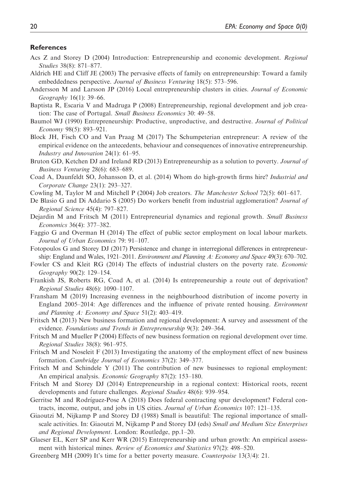#### **References**

- Acs Z and Storey D (2004) Introduction: Entrepreneurship and economic development. Regional Studies 38(8): 871–877.
- Aldrich HE and Cliff JE (2003) The pervasive effects of family on entrepreneurship: Toward a family embeddedness perspective. Journal of Business Venturing 18(5): 573–596.
- Andersson M and Larsson JP (2016) Local entrepreneurship clusters in cities. Journal of Economic Geography 16(1): 39–66.
- Baptista R, Escaria V and Madruga P (2008) Entrepreneurship, regional development and job creation: The case of Portugal. Small Business Economics 30: 49–58.
- Baumol WJ (1990) Entrepreneurship: Productive, unproductive, and destructive. Journal of Political Economy 98(5): 893–921.
- Block JH, Fisch CO and Van Praag M (2017) The Schumpeterian entrepreneur: A review of the empirical evidence on the antecedents, behaviour and consequences of innovative entrepreneurship. Industry and Innovation 24(1): 61–95.
- Bruton GD, Ketchen DJ and Ireland RD (2013) Entrepreneurship as a solution to poverty. Journal of Business Venturing 28(6): 683–689.
- Coad A, Daunfeldt SO, Johansson D, et al. (2014) Whom do high-growth firms hire? Industrial and Corporate Change 23(1): 293–327.
- Cowling M, Taylor M and Mitchell P (2004) Job creators. The Manchester School 72(5): 601–617.
- De Blasio G and Di Addario S (2005) Do workers benefit from industrial agglomeration? Journal of Regional Science 45(4): 797–827.
- Dejardin M and Fritsch M (2011) Entrepreneurial dynamics and regional growth. Small Business Economics 36(4): 377–382.
- Faggio G and Overman H (2014) The effect of public sector employment on local labour markets. Journal of Urban Economics 79: 91–107.
- Fotopoulos G and Storey DJ (2017) Persistence and change in interregional differences in entrepreneurship: England and Wales, 1921–2011. Environment and Planning A: Economy and Space 49(3): 670–702.
- Fowler CS and Kleit RG (2014) The effects of industrial clusters on the poverty rate. *Economic* Geography 90(2): 129–154.
- Frankish JS, Roberts RG, Coad A, et al. (2014) Is entrepreneurship a route out of deprivation? Regional Studies 48(6): 1090–1107.
- Fransham M (2019) Increasing evenness in the neighbourhood distribution of income poverty in England 2005–2014: Age differences and the influence of private rented housing. Environment and Planning A: Economy and Space 51(2): 403–419.
- Fritsch M (2013) New business formation and regional development: A survey and assessment of the evidence. Foundations and Trends in Entrepreneurship 9(3): 249–364.
- Fritsch M and Mueller P (2004) Effects of new business formation on regional development over time. Regional Studies 38(8): 961–975.
- Fritsch M and Noseleit F (2013) Investigating the anatomy of the employment effect of new business formation. Cambridge Journal of Economics 37(2): 349–377.
- Fritsch M and Schindele Y (2011) The contribution of new businesses to regional employment: An empirical analysis. *Economic Geography 87(2)*: 153–180.
- Fritsch M and Storey DJ (2014) Entrepreneurship in a regional context: Historical roots, recent developments and future challenges. Regional Studies 48(6): 939–954.
- Gerritse M and Rodríguez-Pose A (2018) Does federal contracting spur development? Federal contracts, income, output, and jobs in US cities. Journal of Urban Economics 107: 121–135.
- Giaoutzi M, Nijkamp P and Storey DJ (1988) Small is beautiful: The regional importance of smallscale activities. In: Giaoutzi M, Nijkamp P and Storey DJ (eds) Small and Medium Size Enterprises and Regional Development. London: Routledge, pp.1–20.
- Glaeser EL, Kerr SP and Kerr WR (2015) Entrepreneurship and urban growth: An empirical assessment with historical mines. Review of Economics and Statistics 97(2): 498–520.
- Greenberg MH (2009) It's time for a better poverty measure. Counterpoise 13(3/4): 21.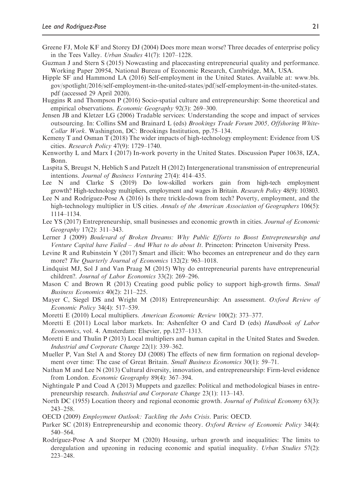- Greene FJ, Mole KF and Storey DJ (2004) Does more mean worse? Three decades of enterprise policy in the Tees Valley. Urban Studies 41(7): 1207–1228.
- Guzman J and Stern S (2015) Nowcasting and placecasting entrepreneurial quality and performance. Working Paper 20954, National Bureau of Economic Research, Cambridge, MA, USA.
- Hipple SF and Hammond LA (2016) Self-employment in the United States. Available at: [www.bls.](http://www.bls.gov/spotlight/2016/self-employment-in-the-united-states/pdf/self-employment-in-the-united-states.pdf) [gov/spotlight/2016/self-employment-in-the-united-states/pdf/self-employment-in-the-united-states.](http://www.bls.gov/spotlight/2016/self-employment-in-the-united-states/pdf/self-employment-in-the-united-states.pdf) [pdf](http://www.bls.gov/spotlight/2016/self-employment-in-the-united-states/pdf/self-employment-in-the-united-states.pdf) (accessed 29 April 2020).
- Huggins R and Thompson P (2016) Socio-spatial culture and entrepreneurship: Some theoretical and empirical observations. Economic Geography 92(3): 269–300.
- Jensen JB and Kletzer LG (2006) Tradable services: Understanding the scope and impact of services outsourcing. In: Collins SM and Brainard L (eds) Brookings Trade Forum 2005, Offshoring White-Collar Work. Washington, DC: Brookings Institution, pp.75–134.
- Kemeny T and Osman T (2018) The wider impacts of high-technology employment: Evidence from US cities. Research Policy 47(9): 1729–1740.
- Kenworthy L and Marx I (2017) In-work poverty in the United States. Discussion Paper 10638, IZA, Bonn.
- Laspita S, Breugst N, Heblich S and Patzelt H (2012) Intergenerational transmission of entrepreneurial intentions. Journal of Business Venturing 27(4): 414–435.
- Lee N and Clarke S (2019) Do low-skilled workers gain from high-tech employment growth? High-technology multipliers, employment and wages in Britain. Research Policy 48(9): 103803.
- Lee N and Rodríguez-Pose A (2016) Is there trickle-down from tech? Poverty, employment, and the high-technology multiplier in US cities. Annals of the American Association of Geographers 106(5): 1114–1134.
- Lee YS (2017) Entrepreneurship, small businesses and economic growth in cities. Journal of Economic Geography 17(2): 311–343.
- Lerner J (2009) Boulevard of Broken Dreams: Why Public Efforts to Boost Entrepreneurship and Venture Capital have Failed – And What to do about It. Princeton: Princeton University Press.
- Levine R and Rubinstein Y (2017) Smart and illicit: Who becomes an entrepreneur and do they earn more? The Quarterly Journal of Economics 132(2): 963–1018.
- Lindquist MJ, Sol J and Van Praag M (2015) Why do entrepreneurial parents have entrepreneurial children?. Journal of Labor Economics 33(2): 269–296.
- Mason C and Brown R (2013) Creating good public policy to support high-growth firms. Small Business Economics 40(2): 211–225.
- Mayer C, Siegel DS and Wright M (2018) Entrepreneurship: An assessment. Oxford Review of Economic Policy 34(4): 517–539.
- Moretti E (2010) Local multipliers. American Economic Review 100(2): 373–377.
- Moretti E (2011) Local labor markets. In: Ashenfelter O and Card D (eds) Handbook of Labor Economics, vol. 4. Amsterdam: Elsevier, pp.1237–1313.
- Moretti E and Thulin P (2013) Local multipliers and human capital in the United States and Sweden. Industrial and Corporate Change 22(1): 339–362.
- Mueller P, Van Stel A and Storey DJ (2008) The effects of new firm formation on regional development over time: The case of Great Britain. Small Business Economics 30(1): 59–71.
- Nathan M and Lee N (2013) Cultural diversity, innovation, and entrepreneurship: Firm-level evidence from London. Economic Geography 89(4): 367-394.
- Nightingale P and Coad A (2013) Muppets and gazelles: Political and methodological biases in entrepreneurship research. *Industrial and Corporate Change* 23(1): 113–143.
- North DC (1955) Location theory and regional economic growth. Journal of Political Economy 63(3): 243–258.
- OECD (2009) Employment Outlook: Tackling the Jobs Crisis. Paris: OECD.
- Parker SC (2018) Entrepreneurship and economic theory. Oxford Review of Economic Policy 34(4): 540–564.
- Rodríguez-Pose A and Storper M (2020) Housing, urban growth and inequalities: The limits to deregulation and upzoning in reducing economic and spatial inequality. Urban Studies 57(2): 223–248.